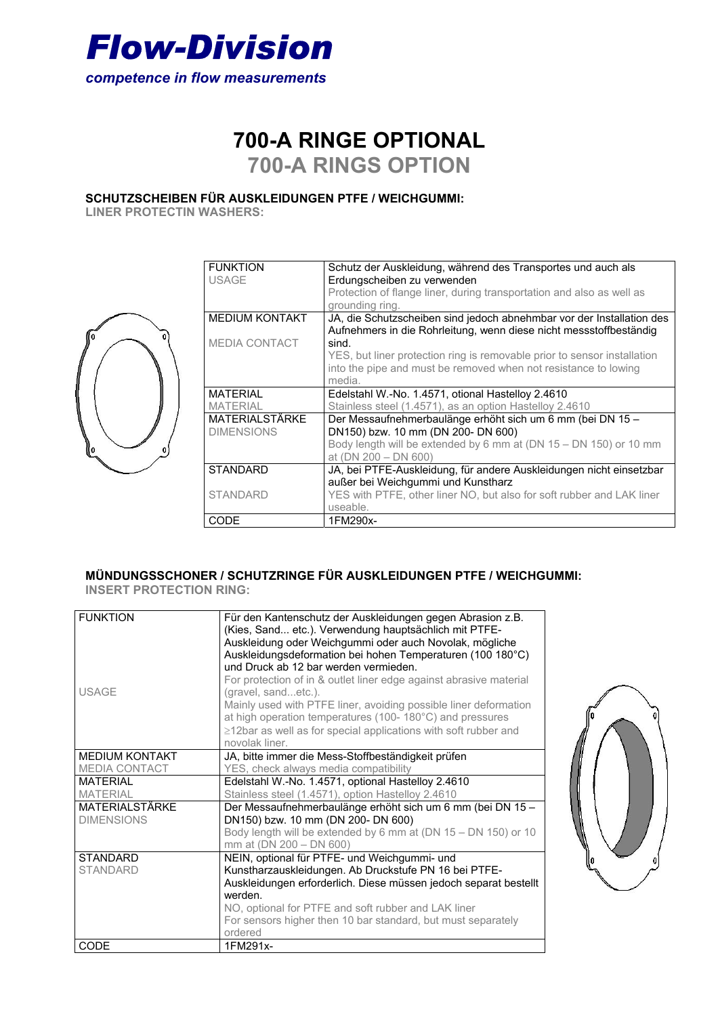

## **700-A RINGE OPTIONAL**

**700-A RINGS OPTION**

**SCHUTZSCHEIBEN FÜR AUSKLEIDUNGEN PTFE / WEICHGUMMI:**

**LINER PROTECTIN WASHERS:** 



| <b>FUNKTION</b>       | Schutz der Auskleidung, während des Transportes und auch als             |
|-----------------------|--------------------------------------------------------------------------|
| <b>USAGE</b>          | Erdungscheiben zu verwenden                                              |
|                       | Protection of flange liner, during transportation and also as well as    |
|                       | grounding ring.                                                          |
| <b>MEDIUM KONTAKT</b> | JA, die Schutzscheiben sind jedoch abnehmbar vor der Installation des    |
|                       | Aufnehmers in die Rohrleitung, wenn diese nicht messstoffbeständig       |
| <b>MEDIA CONTACT</b>  | sind.                                                                    |
|                       | YES, but liner protection ring is removable prior to sensor installation |
|                       | into the pipe and must be removed when not resistance to lowing          |
|                       | media.                                                                   |
| <b>MATERIAL</b>       | Edelstahl W.-No. 1.4571, otional Hastelloy 2.4610                        |
| <b>MATERIAL</b>       | Stainless steel (1.4571), as an option Hastelloy 2.4610                  |
| MATERIALSTÄRKE        | Der Messaufnehmerbaulänge erhöht sich um 6 mm (bei DN 15 -               |
| <b>DIMENSIONS</b>     | DN150) bzw. 10 mm (DN 200- DN 600)                                       |
|                       | Body length will be extended by 6 mm at (DN 15 - DN 150) or 10 mm        |
|                       | at (DN 200 - DN 600)                                                     |
| <b>STANDARD</b>       | JA, bei PTFE-Auskleidung, für andere Auskleidungen nicht einsetzbar      |
|                       | außer bei Weichgummi und Kunstharz                                       |
| <b>STANDARD</b>       | YES with PTFE, other liner NO, but also for soft rubber and LAK liner    |
|                       | useable.                                                                 |
| <b>CODE</b>           | 1FM290x-                                                                 |

## **MÜNDUNGSSCHONER / SCHUTZRINGE FÜR AUSKLEIDUNGEN PTFE / WEICHGUMMI:**

|  | <b>INSERT PROTECTION RING:</b> |  |
|--|--------------------------------|--|
|  |                                |  |

| <b>FUNKTION</b>       | Für den Kantenschutz der Auskleidungen gegen Abrasion z.B.            |
|-----------------------|-----------------------------------------------------------------------|
|                       | (Kies, Sand etc.). Verwendung hauptsächlich mit PTFE-                 |
|                       | Auskleidung oder Weichgummi oder auch Novolak, mögliche               |
|                       | Auskleidungsdeformation bei hohen Temperaturen (100 180°C)            |
|                       | und Druck ab 12 bar werden vermieden.                                 |
|                       | For protection of in & outlet liner edge against abrasive material    |
| <b>USAGE</b>          | (gravel, sandetc.).                                                   |
|                       | Mainly used with PTFE liner, avoiding possible liner deformation      |
|                       | at high operation temperatures (100-180°C) and pressures              |
|                       | $\geq$ 12bar as well as for special applications with soft rubber and |
|                       | novolak liner.                                                        |
| <b>MEDIUM KONTAKT</b> | JA, bitte immer die Mess-Stoffbeständigkeit prüfen                    |
| <b>MEDIA CONTACT</b>  | YES, check always media compatibility                                 |
| MATFRIAI              | Edelstahl W.-No. 1.4571, optional Hastelloy 2.4610                    |
| <b>MATERIAL</b>       | Stainless steel (1.4571), option Hastelloy 2.4610                     |
| MATERIALSTÄRKE        | Der Messaufnehmerbaulänge erhöht sich um 6 mm (bei DN 15 -            |
| <b>DIMENSIONS</b>     | DN150) bzw. 10 mm (DN 200- DN 600)                                    |
|                       | Body length will be extended by 6 mm at (DN 15 - DN 150) or 10        |
|                       | mm at (DN 200 - DN 600)                                               |
| <b>STANDARD</b>       | NEIN, optional für PTFE- und Weichgummi- und                          |
| <b>STANDARD</b>       | Kunstharzauskleidungen. Ab Druckstufe PN 16 bei PTFE-                 |
|                       | Auskleidungen erforderlich. Diese müssen jedoch separat bestellt      |
|                       | werden.                                                               |
|                       | NO, optional for PTFE and soft rubber and LAK liner                   |
|                       | For sensors higher then 10 bar standard, but must separately          |
|                       | ordered                                                               |
| CODE                  | 1FM291x-                                                              |